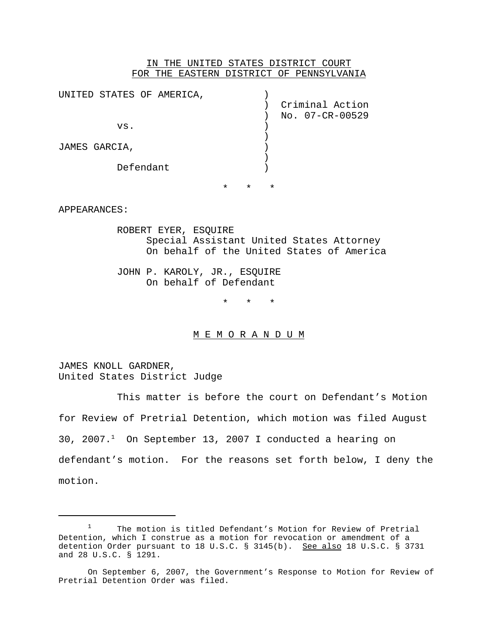# IN THE UNITED STATES DISTRICT COURT FOR THE EASTERN DISTRICT OF PENNSYLVANIA

| UNITED STATES OF AMERICA, |         |         |         |                 |
|---------------------------|---------|---------|---------|-----------------|
|                           |         |         |         | Criminal Action |
|                           |         |         |         | No. 07-CR-00529 |
| VS.                       |         |         |         |                 |
|                           |         |         |         |                 |
| JAMES GARCIA,             |         |         |         |                 |
|                           |         |         |         |                 |
| Defendant                 |         |         |         |                 |
|                           |         |         |         |                 |
|                           | $\star$ | $\star$ | $\star$ |                 |

### APPEARANCES:

ROBERT EYER, ESQUIRE Special Assistant United States Attorney On behalf of the United States of America

JOHN P. KAROLY, JR., ESQUIRE On behalf of Defendant

\* \* \*

### M E M O R A N D U M

JAMES KNOLL GARDNER, United States District Judge

This matter is before the court on Defendant's Motion for Review of Pretrial Detention, which motion was filed August 30, 2007.1 On September 13, 2007 I conducted a hearing on defendant's motion. For the reasons set forth below, I deny the motion.

<sup>&</sup>lt;sup>1</sup> The motion is titled Defendant's Motion for Review of Pretrial Detention, which I construe as a motion for revocation or amendment of a detention Order pursuant to 18 U.S.C. § 3145(b). See also 18 U.S.C. § 3731 and 28 U.S.C. § 1291.

On September 6, 2007, the Government's Response to Motion for Review of Pretrial Detention Order was filed.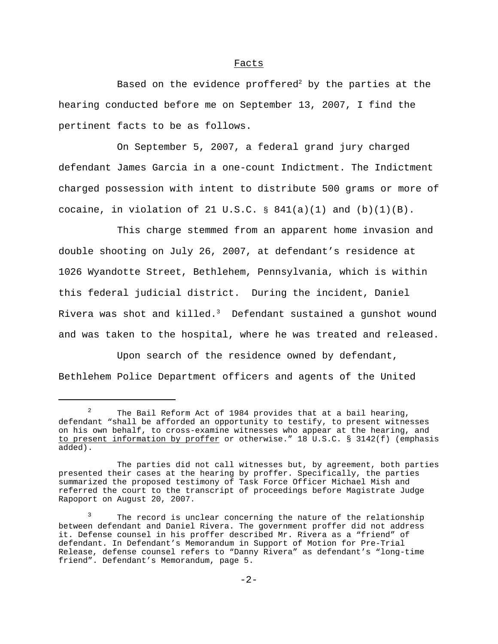#### Facts

Based on the evidence proffered<sup>2</sup> by the parties at the hearing conducted before me on September 13, 2007, I find the pertinent facts to be as follows.

On September 5, 2007, a federal grand jury charged defendant James Garcia in a one-count Indictment. The Indictment charged possession with intent to distribute 500 grams or more of cocaine, in violation of 21 U.S.C.  $\S$  841(a)(1) and (b)(1)(B).

This charge stemmed from an apparent home invasion and double shooting on July 26, 2007, at defendant's residence at 1026 Wyandotte Street, Bethlehem, Pennsylvania, which is within this federal judicial district. During the incident, Daniel Rivera was shot and killed. $3$  Defendant sustained a gunshot wound and was taken to the hospital, where he was treated and released.

Upon search of the residence owned by defendant, Bethlehem Police Department officers and agents of the United

<sup>&</sup>lt;sup>2</sup> The Bail Reform Act of 1984 provides that at a bail hearing, defendant "shall be afforded an opportunity to testify, to present witnesses on his own behalf, to cross-examine witnesses who appear at the hearing, and to present information by proffer or otherwise." 18 U.S.C. § 3142(f) (emphasis added).

The parties did not call witnesses but, by agreement, both parties presented their cases at the hearing by proffer. Specifically, the parties summarized the proposed testimony of Task Force Officer Michael Mish and referred the court to the transcript of proceedings before Magistrate Judge Rapoport on August 20, 2007.

The record is unclear concerning the nature of the relationship between defendant and Daniel Rivera. The government proffer did not address it. Defense counsel in his proffer described Mr. Rivera as a "friend" of defendant. In Defendant's Memorandum in Support of Motion for Pre-Trial Release, defense counsel refers to "Danny Rivera" as defendant's "long-time friend". Defendant's Memorandum, page 5.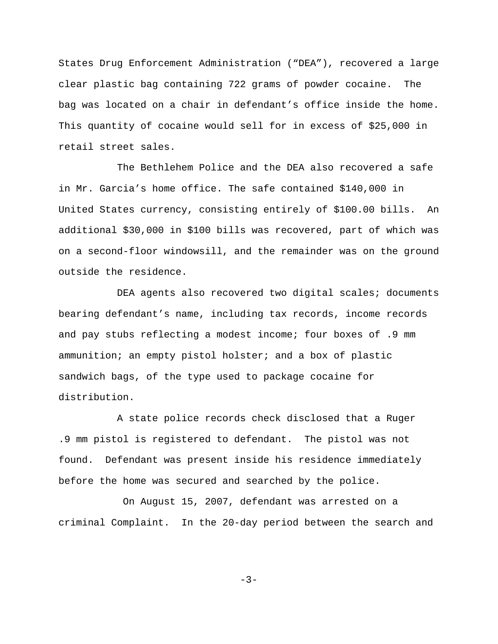States Drug Enforcement Administration ("DEA"), recovered a large clear plastic bag containing 722 grams of powder cocaine. The bag was located on a chair in defendant's office inside the home. This quantity of cocaine would sell for in excess of \$25,000 in retail street sales.

The Bethlehem Police and the DEA also recovered a safe in Mr. Garcia's home office. The safe contained \$140,000 in United States currency, consisting entirely of \$100.00 bills. An additional \$30,000 in \$100 bills was recovered, part of which was on a second-floor windowsill, and the remainder was on the ground outside the residence.

DEA agents also recovered two digital scales; documents bearing defendant's name, including tax records, income records and pay stubs reflecting a modest income; four boxes of .9 mm ammunition; an empty pistol holster; and a box of plastic sandwich bags, of the type used to package cocaine for distribution.

A state police records check disclosed that a Ruger .9 mm pistol is registered to defendant. The pistol was not found. Defendant was present inside his residence immediately before the home was secured and searched by the police.

On August 15, 2007, defendant was arrested on a criminal Complaint. In the 20-day period between the search and

-3-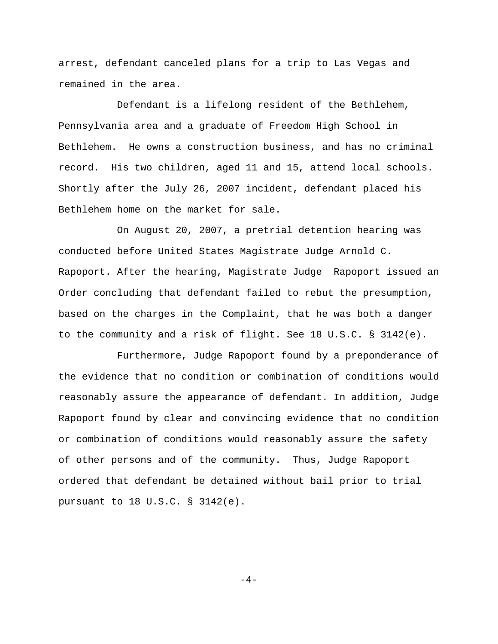arrest, defendant canceled plans for a trip to Las Vegas and remained in the area.

Defendant is a lifelong resident of the Bethlehem, Pennsylvania area and a graduate of Freedom High School in Bethlehem. He owns a construction business, and has no criminal record. His two children, aged 11 and 15, attend local schools. Shortly after the July 26, 2007 incident, defendant placed his Bethlehem home on the market for sale.

On August 20, 2007, a pretrial detention hearing was conducted before United States Magistrate Judge Arnold C. Rapoport. After the hearing, Magistrate Judge Rapoport issued an Order concluding that defendant failed to rebut the presumption, based on the charges in the Complaint, that he was both a danger to the community and a risk of flight. See 18 U.S.C. § 3142(e).

Furthermore, Judge Rapoport found by a preponderance of the evidence that no condition or combination of conditions would reasonably assure the appearance of defendant. In addition, Judge Rapoport found by clear and convincing evidence that no condition or combination of conditions would reasonably assure the safety of other persons and of the community. Thus, Judge Rapoport ordered that defendant be detained without bail prior to trial pursuant to 18 U.S.C. § 3142(e).

 $-4-$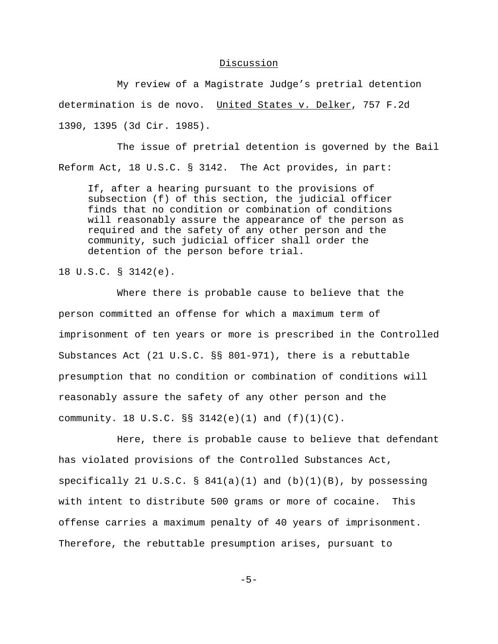# Discussion

My review of a Magistrate Judge's pretrial detention determination is de novo. United States v. Delker, 757 F.2d 1390, 1395 (3d Cir. 1985).

The issue of pretrial detention is governed by the Bail Reform Act, 18 U.S.C. § 3142. The Act provides, in part:

If, after a hearing pursuant to the provisions of subsection (f) of this section, the judicial officer finds that no condition or combination of conditions will reasonably assure the appearance of the person as required and the safety of any other person and the community, such judicial officer shall order the detention of the person before trial.

18 U.S.C. § 3142(e).

Where there is probable cause to believe that the person committed an offense for which a maximum term of imprisonment of ten years or more is prescribed in the Controlled Substances Act (21 U.S.C. §§ 801-971), there is a rebuttable presumption that no condition or combination of conditions will reasonably assure the safety of any other person and the community. 18 U.S.C.  $\S$  3142(e)(1) and  $(f)(1)(C)$ .

Here, there is probable cause to believe that defendant has violated provisions of the Controlled Substances Act, specifically 21 U.S.C. §  $841(a)(1)$  and  $(b)(1)(B)$ , by possessing with intent to distribute 500 grams or more of cocaine. This offense carries a maximum penalty of 40 years of imprisonment. Therefore, the rebuttable presumption arises, pursuant to

 $-5-$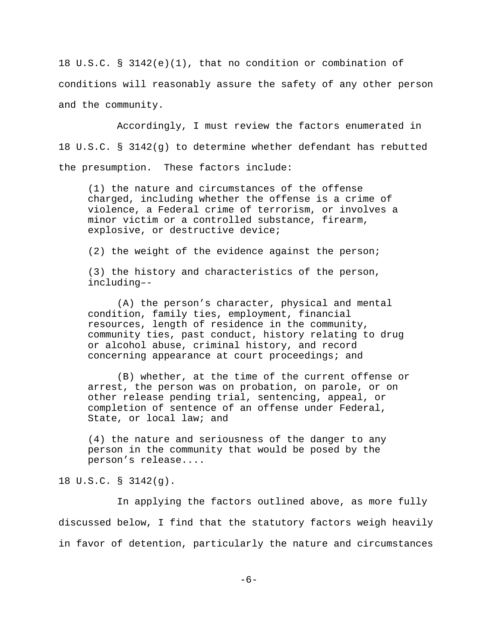18 U.S.C. § 3142(e)(1), that no condition or combination of conditions will reasonably assure the safety of any other person and the community.

Accordingly, I must review the factors enumerated in 18 U.S.C. § 3142(g) to determine whether defendant has rebutted the presumption. These factors include:

(1) the nature and circumstances of the offense charged, including whether the offense is a crime of violence, a Federal crime of terrorism, or involves a minor victim or a controlled substance, firearm, explosive, or destructive device;

(2) the weight of the evidence against the person;

(3) the history and characteristics of the person, including–-

(A) the person's character, physical and mental condition, family ties, employment, financial resources, length of residence in the community, community ties, past conduct, history relating to drug or alcohol abuse, criminal history, and record concerning appearance at court proceedings; and

(B) whether, at the time of the current offense or arrest, the person was on probation, on parole, or on other release pending trial, sentencing, appeal, or completion of sentence of an offense under Federal, State, or local law; and

(4) the nature and seriousness of the danger to any person in the community that would be posed by the person's release....

18 U.S.C. § 3142(g).

In applying the factors outlined above, as more fully discussed below, I find that the statutory factors weigh heavily in favor of detention, particularly the nature and circumstances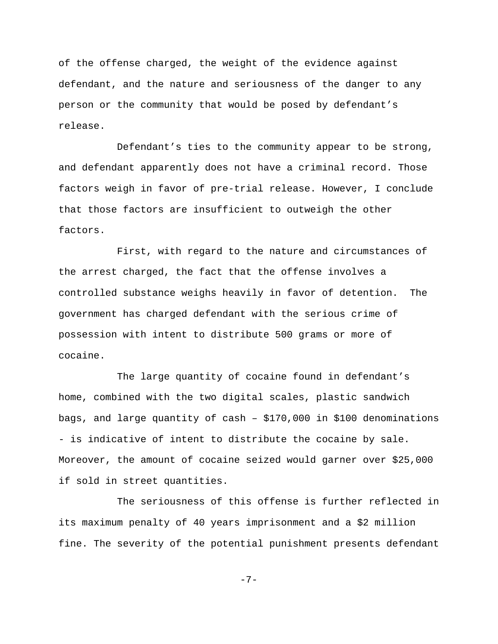of the offense charged, the weight of the evidence against defendant, and the nature and seriousness of the danger to any person or the community that would be posed by defendant's release.

Defendant's ties to the community appear to be strong, and defendant apparently does not have a criminal record. Those factors weigh in favor of pre-trial release. However, I conclude that those factors are insufficient to outweigh the other factors.

First, with regard to the nature and circumstances of the arrest charged, the fact that the offense involves a controlled substance weighs heavily in favor of detention. The government has charged defendant with the serious crime of possession with intent to distribute 500 grams or more of cocaine.

The large quantity of cocaine found in defendant's home, combined with the two digital scales, plastic sandwich bags, and large quantity of cash – \$170,000 in \$100 denominations - is indicative of intent to distribute the cocaine by sale. Moreover, the amount of cocaine seized would garner over \$25,000 if sold in street quantities.

The seriousness of this offense is further reflected in its maximum penalty of 40 years imprisonment and a \$2 million fine. The severity of the potential punishment presents defendant

-7-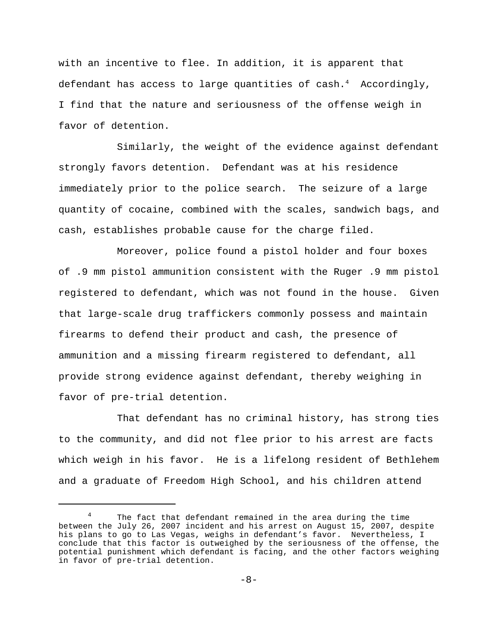with an incentive to flee. In addition, it is apparent that defendant has access to large quantities of cash.<sup>4</sup> Accordingly, I find that the nature and seriousness of the offense weigh in favor of detention.

Similarly, the weight of the evidence against defendant strongly favors detention. Defendant was at his residence immediately prior to the police search. The seizure of a large quantity of cocaine, combined with the scales, sandwich bags, and cash, establishes probable cause for the charge filed.

Moreover, police found a pistol holder and four boxes of .9 mm pistol ammunition consistent with the Ruger .9 mm pistol registered to defendant, which was not found in the house. Given that large-scale drug traffickers commonly possess and maintain firearms to defend their product and cash, the presence of ammunition and a missing firearm registered to defendant, all provide strong evidence against defendant, thereby weighing in favor of pre-trial detention.

That defendant has no criminal history, has strong ties to the community, and did not flee prior to his arrest are facts which weigh in his favor. He is a lifelong resident of Bethlehem and a graduate of Freedom High School, and his children attend

The fact that defendant remained in the area during the time between the July 26, 2007 incident and his arrest on August 15, 2007, despite his plans to go to Las Vegas, weighs in defendant's favor. Nevertheless, I conclude that this factor is outweighed by the seriousness of the offense, the potential punishment which defendant is facing, and the other factors weighing in favor of pre-trial detention.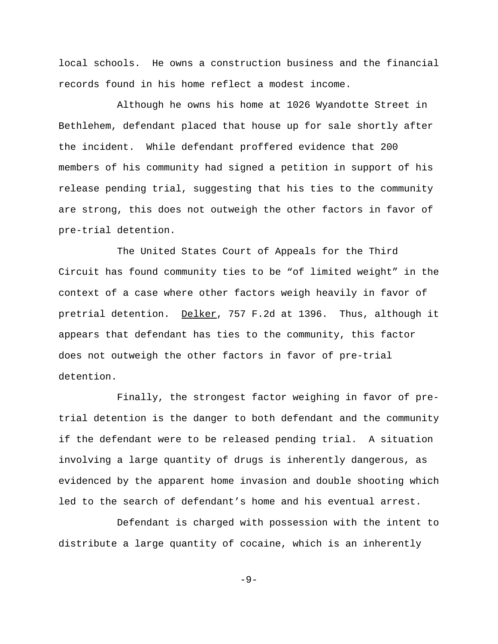local schools. He owns a construction business and the financial records found in his home reflect a modest income.

Although he owns his home at 1026 Wyandotte Street in Bethlehem, defendant placed that house up for sale shortly after the incident. While defendant proffered evidence that 200 members of his community had signed a petition in support of his release pending trial, suggesting that his ties to the community are strong, this does not outweigh the other factors in favor of pre-trial detention.

The United States Court of Appeals for the Third Circuit has found community ties to be "of limited weight" in the context of a case where other factors weigh heavily in favor of pretrial detention. Delker, 757 F.2d at 1396. Thus, although it appears that defendant has ties to the community, this factor does not outweigh the other factors in favor of pre-trial detention.

Finally, the strongest factor weighing in favor of pretrial detention is the danger to both defendant and the community if the defendant were to be released pending trial. A situation involving a large quantity of drugs is inherently dangerous, as evidenced by the apparent home invasion and double shooting which led to the search of defendant's home and his eventual arrest.

Defendant is charged with possession with the intent to distribute a large quantity of cocaine, which is an inherently

-9-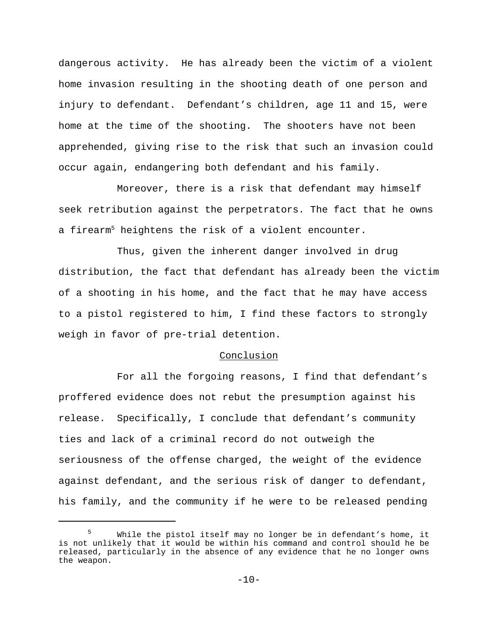dangerous activity. He has already been the victim of a violent home invasion resulting in the shooting death of one person and injury to defendant. Defendant's children, age 11 and 15, were home at the time of the shooting. The shooters have not been apprehended, giving rise to the risk that such an invasion could occur again, endangering both defendant and his family.

Moreover, there is a risk that defendant may himself seek retribution against the perpetrators. The fact that he owns a firearm<sup>5</sup> heightens the risk of a violent encounter.

Thus, given the inherent danger involved in drug distribution, the fact that defendant has already been the victim of a shooting in his home, and the fact that he may have access to a pistol registered to him, I find these factors to strongly weigh in favor of pre-trial detention.

### Conclusion

For all the forgoing reasons, I find that defendant's proffered evidence does not rebut the presumption against his release. Specifically, I conclude that defendant's community ties and lack of a criminal record do not outweigh the seriousness of the offense charged, the weight of the evidence against defendant, and the serious risk of danger to defendant, his family, and the community if he were to be released pending

<sup>5</sup> While the pistol itself may no longer be in defendant's home, it is not unlikely that it would be within his command and control should he be released, particularly in the absence of any evidence that he no longer owns the weapon.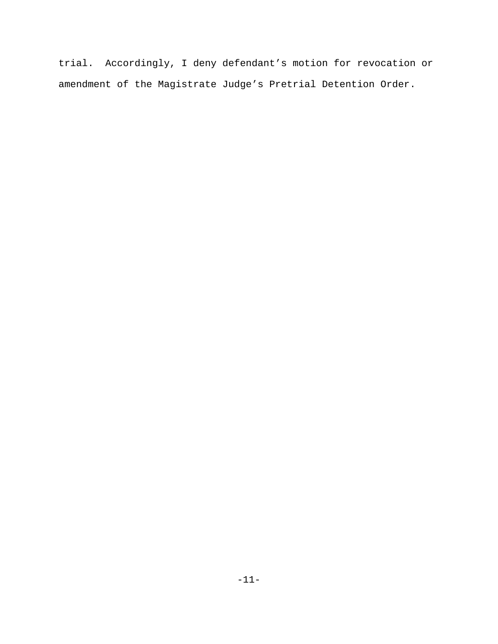trial. Accordingly, I deny defendant's motion for revocation or amendment of the Magistrate Judge's Pretrial Detention Order.